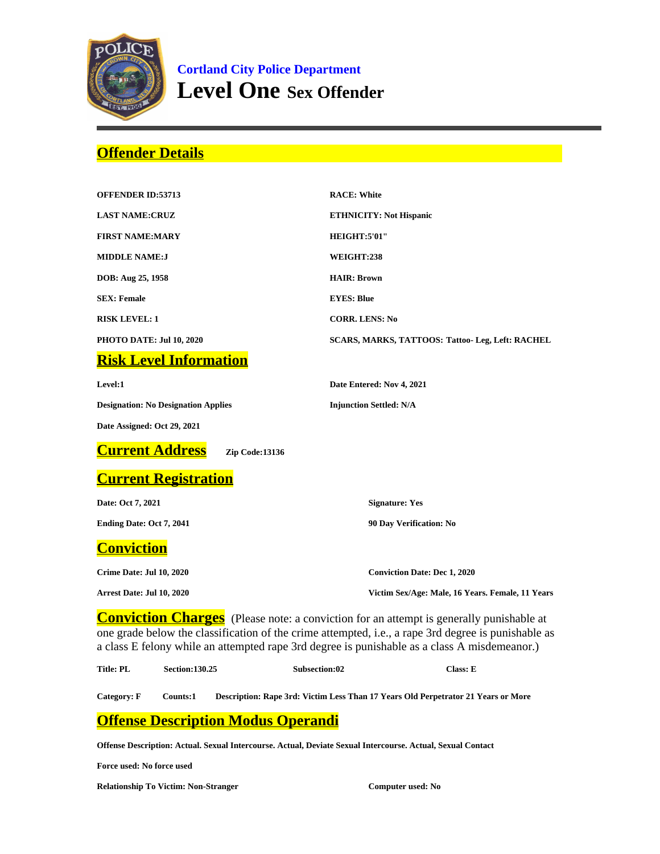

**Cortland City Police Department Level One Sex Offender**

## **Offender Details**

| <b>OFFENDER ID:53713</b>                   | <b>RACE: White</b>                                      |
|--------------------------------------------|---------------------------------------------------------|
| <b>LAST NAME:CRUZ</b>                      | <b>ETHNICITY: Not Hispanic</b>                          |
| <b>FIRST NAME:MARY</b>                     | HEIGHT:5'01"                                            |
| <b>MIDDLE NAME:J</b>                       | WEIGHT:238                                              |
| DOB: Aug 25, 1958                          | <b>HAIR: Brown</b>                                      |
| <b>SEX: Female</b>                         | <b>EYES: Blue</b>                                       |
| <b>RISK LEVEL: 1</b>                       | <b>CORR. LENS: No</b>                                   |
| PHOTO DATE: Jul 10, 2020                   | <b>SCARS, MARKS, TATTOOS: Tattoo- Leg, Left: RACHEL</b> |
| <b>Risk Level Information</b>              |                                                         |
| Level:1                                    | Date Entered: Nov 4, 2021                               |
| <b>Designation: No Designation Applies</b> | <b>Injunction Settled: N/A</b>                          |
| Date Assigned: Oct 29, 2021                |                                                         |
| <b>Current Address</b><br>Zip Code:13136   |                                                         |
| <b>Current Registration</b>                |                                                         |
| Date: Oct 7, 2021                          | <b>Signature: Yes</b>                                   |
| Ending Date: Oct 7, 2041                   | 90 Day Verification: No                                 |
| <b>Conviction</b>                          |                                                         |
| Crime Date: Jul 10, 2020                   | <b>Conviction Date: Dec 1, 2020</b>                     |
| Arrest Date: Jul 10, 2020                  | Victim Sex/Age: Male, 16 Years. Female, 11 Years        |

**Conviction Charges** (Please note: a conviction for an attempt is generally punishable at one grade below the classification of the crime attempted, i.e., a rape 3rd degree is punishable as a class E felony while an attempted rape 3rd degree is punishable as a class A misdemeanor.)

| Title: PL<br><b>Section:130.25</b><br><b>Subsection:02</b> | Class: E |
|------------------------------------------------------------|----------|
|------------------------------------------------------------|----------|

**Category: F Counts:1 Description: Rape 3rd: Victim Less Than 17 Years Old Perpetrator 21 Years or More**

## **Offense Description Modus Operandi**

**Offense Description: Actual. Sexual Intercourse. Actual, Deviate Sexual Intercourse. Actual, Sexual Contact**

**Force used: No force used**

**Relationship To Victim: Non-Stranger Computer used: No**